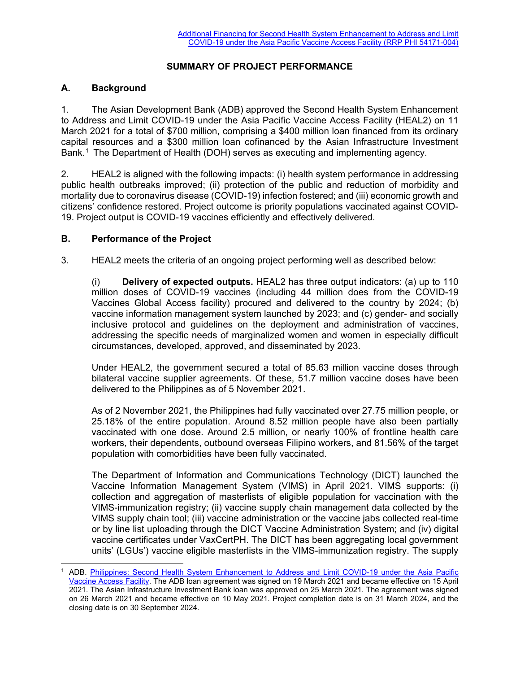## **SUMMARY OF PROJECT PERFORMANCE**

## **A. Background**

1. The Asian Development Bank (ADB) approved the Second Health System Enhancement to Address and Limit COVID-19 under the Asia Pacific Vaccine Access Facility (HEAL2) on 11 March 2021 for a total of \$700 million, comprising a \$400 million loan financed from its ordinary capital resources and a \$300 million loan cofinanced by the Asian Infrastructure Investment Bank.[1](#page-0-0) The Department of Health (DOH) serves as executing and implementing agency.

2. HEAL2 is aligned with the following impacts: (i) health system performance in addressing public health outbreaks improved; (ii) protection of the public and reduction of morbidity and mortality due to coronavirus disease (COVID-19) infection fostered; and (iii) economic growth and citizens' confidence restored. Project outcome is priority populations vaccinated against COVID-19. Project output is COVID-19 vaccines efficiently and effectively delivered.

## **B. Performance of the Project**

3. HEAL2 meets the criteria of an ongoing project performing well as described below:

(i) **Delivery of expected outputs.** HEAL2 has three output indicators: (a) up to 110 million doses of COVID-19 vaccines (including 44 million does from the COVID-19 Vaccines Global Access facility) procured and delivered to the country by 2024; (b) vaccine information management system launched by 2023; and (c) gender- and socially inclusive protocol and guidelines on the deployment and administration of vaccines, addressing the specific needs of marginalized women and women in especially difficult circumstances, developed, approved, and disseminated by 2023.

Under HEAL2, the government secured a total of 85.63 million vaccine doses through bilateral vaccine supplier agreements. Of these, 51.7 million vaccine doses have been delivered to the Philippines as of 5 November 2021.

As of 2 November 2021, the Philippines had fully vaccinated over 27.75 million people, or 25.18% of the entire population. Around 8.52 million people have also been partially vaccinated with one dose. Around 2.5 million, or nearly 100% of frontline health care workers, their dependents, outbound overseas Filipino workers, and 81.56% of the target population with comorbidities have been fully vaccinated.

The Department of Information and Communications Technology (DICT) launched the Vaccine Information Management System (VIMS) in April 2021. VIMS supports: (i) collection and aggregation of masterlists of eligible population for vaccination with the VIMS-immunization registry; (ii) vaccine supply chain management data collected by the VIMS supply chain tool; (iii) vaccine administration or the vaccine jabs collected real-time or by line list uploading through the DICT Vaccine Administration System; and (iv) digital vaccine certificates under VaxCertPH. The DICT has been aggregating local government units' (LGUs') vaccine eligible masterlists in the VIMS-immunization registry. The supply

<span id="page-0-0"></span>ADB. Philippines: Second Health System Enhancement to Address and Limit COVID-19 under the Asia Pacific [Vaccine Access Facility.](https://www.adb.org/projects/54171-003/main) The ADB loan agreement was signed on 19 March 2021 and became effective on 15 April 2021. The Asian Infrastructure Investment Bank loan was approved on 25 March 2021. The agreement was signed on 26 March 2021 and became effective on 10 May 2021. Project completion date is on 31 March 2024, and the closing date is on 30 September 2024.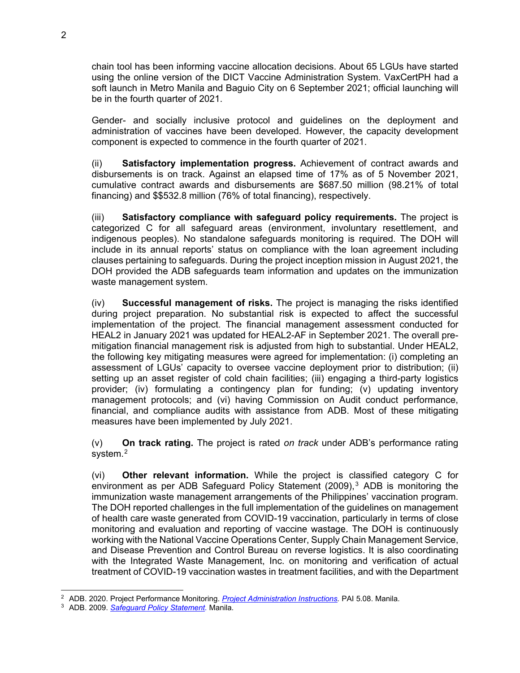chain tool has been informing vaccine allocation decisions. About 65 LGUs have started using the online version of the DICT Vaccine Administration System. VaxCertPH had a soft launch in Metro Manila and Baguio City on 6 September 2021; official launching will be in the fourth quarter of 2021.

Gender- and socially inclusive protocol and guidelines on the deployment and administration of vaccines have been developed. However, the capacity development component is expected to commence in the fourth quarter of 2021.

(ii) **Satisfactory implementation progress.** Achievement of contract awards and disbursements is on track. Against an elapsed time of 17% as of 5 November 2021, cumulative contract awards and disbursements are \$687.50 million (98.21% of total financing) and \$\$532.8 million (76% of total financing), respectively.

(iii) **Satisfactory compliance with safeguard policy requirements.** The project is categorized C for all safeguard areas (environment, involuntary resettlement, and indigenous peoples). No standalone safeguards monitoring is required. The DOH will include in its annual reports' status on compliance with the loan agreement including clauses pertaining to safeguards. During the project inception mission in August 2021, the DOH provided the ADB safeguards team information and updates on the immunization waste management system.

(iv) **Successful management of risks.** The project is managing the risks identified during project preparation. No substantial risk is expected to affect the successful implementation of the project. The financial management assessment conducted for HEAL2 in January 2021 was updated for HEAL2-AF in September 2021. The overall premitigation financial management risk is adjusted from high to substantial. Under HEAL2, the following key mitigating measures were agreed for implementation: (i) completing an assessment of LGUs' capacity to oversee vaccine deployment prior to distribution; (ii) setting up an asset register of cold chain facilities; (iii) engaging a third-party logistics provider; (iv) formulating a contingency plan for funding; (v) updating inventory management protocols; and (vi) having Commission on Audit conduct performance, financial, and compliance audits with assistance from ADB. Most of these mitigating measures have been implemented by July 2021.

(v) **On track rating.** The project is rated *on track* under ADB's performance rating system.<sup>[2](#page-1-0)</sup>

(vi) **Other relevant information.** While the project is classified category C for environment as per ADB Safeguard Policy Statement  $(2009)$ ,<sup>[3](#page-1-1)</sup> ADB is monitoring the immunization waste management arrangements of the Philippines' vaccination program. The DOH reported challenges in the full implementation of the guidelines on management of health care waste generated from COVID-19 vaccination, particularly in terms of close monitoring and evaluation and reporting of vaccine wastage. The DOH is continuously working with the National Vaccine Operations Center, Supply Chain Management Service, and Disease Prevention and Control Bureau on reverse logistics. It is also coordinating with the Integrated Waste Management, Inc. on monitoring and verification of actual treatment of COVID-19 vaccination wastes in treatment facilities, and with the Department

<span id="page-1-0"></span><sup>&</sup>lt;sup>2</sup> ADB. 2020. Project Performance Monitoring. *Project Administration Instructions*. PAI 5.08. Manila.<br><sup>3</sup> ADB. 2009. *Safeguard <u>Policy Statement</u>.* Manila.

<span id="page-1-1"></span>